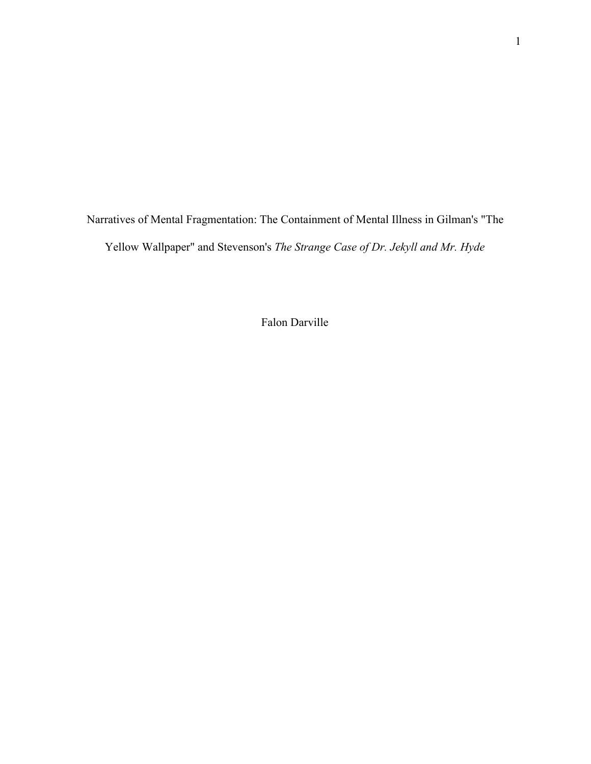Narratives of Mental Fragmentation: The Containment of Mental Illness in Gilman's "The Yellow Wallpaper" and Stevenson's *The Strange Case of Dr. Jekyll and Mr. Hyde*

Falon Darville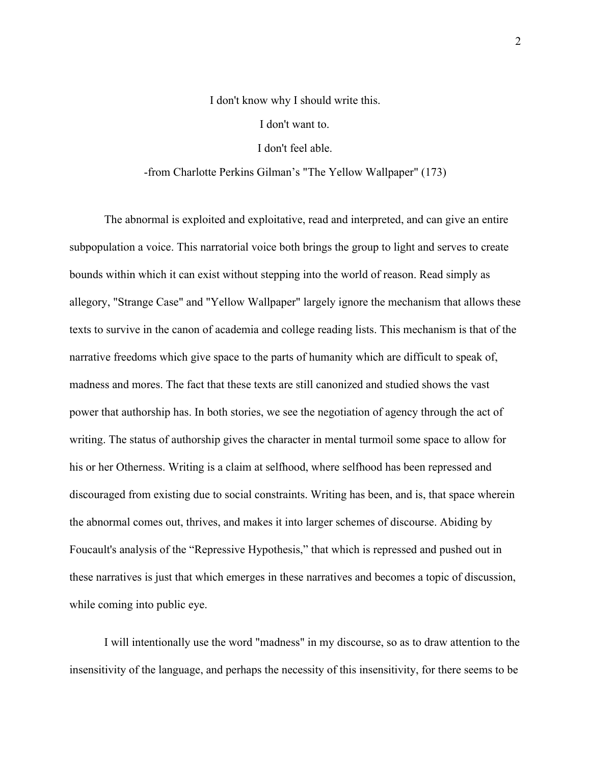## I don't know why I should write this. I don't want to. I don't feel able.

## -from Charlotte Perkins Gilman's "The Yellow Wallpaper" (173)

The abnormal is exploited and exploitative, read and interpreted, and can give an entire subpopulation a voice. This narratorial voice both brings the group to light and serves to create bounds within which it can exist without stepping into the world of reason. Read simply as allegory, "Strange Case" and "Yellow Wallpaper" largely ignore the mechanism that allows these texts to survive in the canon of academia and college reading lists. This mechanism is that of the narrative freedoms which give space to the parts of humanity which are difficult to speak of, madness and mores. The fact that these texts are still canonized and studied shows the vast power that authorship has. In both stories, we see the negotiation of agency through the act of writing. The status of authorship gives the character in mental turmoil some space to allow for his or her Otherness. Writing is a claim at selfhood, where selfhood has been repressed and discouraged from existing due to social constraints. Writing has been, and is, that space wherein the abnormal comes out, thrives, and makes it into larger schemes of discourse. Abiding by Foucault's analysis of the "Repressive Hypothesis," that which is repressed and pushed out in these narratives is just that which emerges in these narratives and becomes a topic of discussion, while coming into public eye.

I will intentionally use the word "madness" in my discourse, so as to draw attention to the insensitivity of the language, and perhaps the necessity of this insensitivity, for there seems to be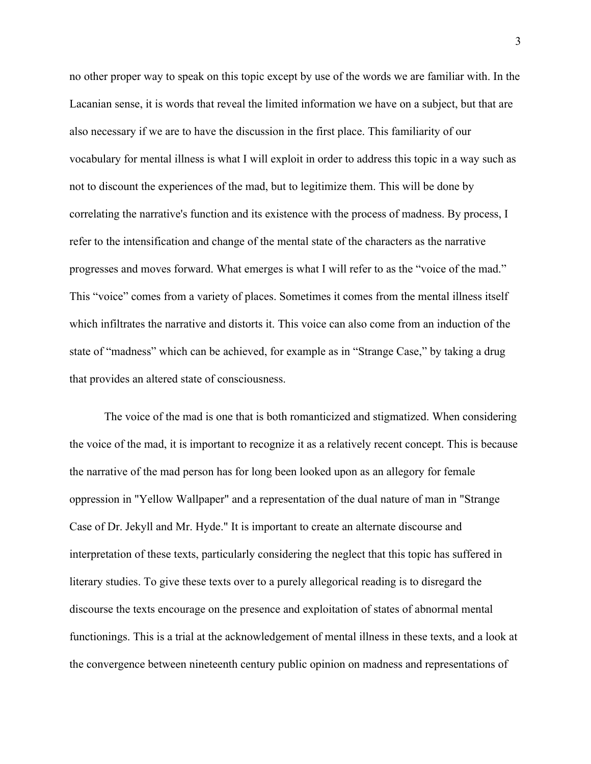no other proper way to speak on this topic except by use of the words we are familiar with. In the Lacanian sense, it is words that reveal the limited information we have on a subject, but that are also necessary if we are to have the discussion in the first place. This familiarity of our vocabulary for mental illness is what I will exploit in order to address this topic in a way such as not to discount the experiences of the mad, but to legitimize them. This will be done by correlating the narrative's function and its existence with the process of madness. By process, I refer to the intensification and change of the mental state of the characters as the narrative progresses and moves forward. What emerges is what I will refer to as the "voice of the mad." This "voice" comes from a variety of places. Sometimes it comes from the mental illness itself which infiltrates the narrative and distorts it. This voice can also come from an induction of the state of "madness" which can be achieved, for example as in "Strange Case," by taking a drug that provides an altered state of consciousness.

The voice of the mad is one that is both romanticized and stigmatized. When considering the voice of the mad, it is important to recognize it as a relatively recent concept. This is because the narrative of the mad person has for long been looked upon as an allegory for female oppression in "Yellow Wallpaper" and a representation of the dual nature of man in "Strange Case of Dr. Jekyll and Mr. Hyde." It is important to create an alternate discourse and interpretation of these texts, particularly considering the neglect that this topic has suffered in literary studies. To give these texts over to a purely allegorical reading is to disregard the discourse the texts encourage on the presence and exploitation of states of abnormal mental functionings. This is a trial at the acknowledgement of mental illness in these texts, and a look at the convergence between nineteenth century public opinion on madness and representations of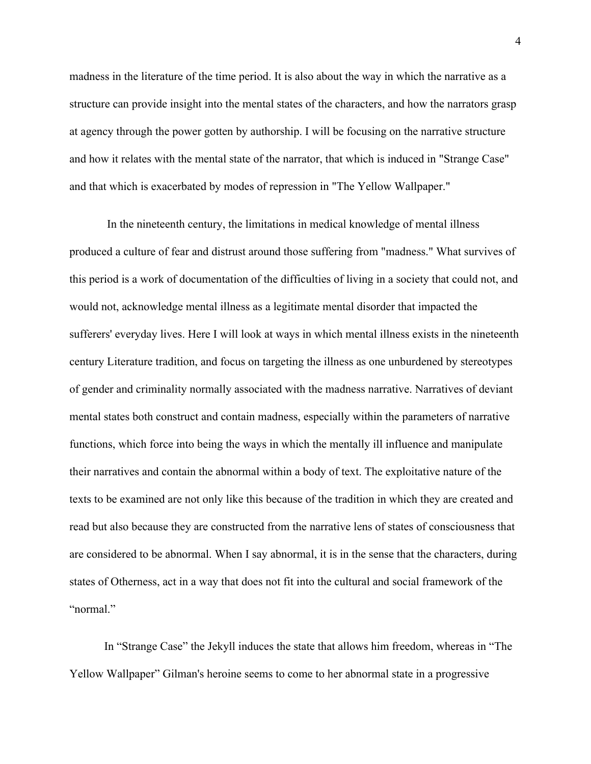madness in the literature of the time period. It is also about the way in which the narrative as a structure can provide insight into the mental states of the characters, and how the narrators grasp at agency through the power gotten by authorship. I will be focusing on the narrative structure and how it relates with the mental state of the narrator, that which is induced in "Strange Case" and that which is exacerbated by modes of repression in "The Yellow Wallpaper."

 In the nineteenth century, the limitations in medical knowledge of mental illness produced a culture of fear and distrust around those suffering from "madness." What survives of this period is a work of documentation of the difficulties of living in a society that could not, and would not, acknowledge mental illness as a legitimate mental disorder that impacted the sufferers' everyday lives. Here I will look at ways in which mental illness exists in the nineteenth century Literature tradition, and focus on targeting the illness as one unburdened by stereotypes of gender and criminality normally associated with the madness narrative. Narratives of deviant mental states both construct and contain madness, especially within the parameters of narrative functions, which force into being the ways in which the mentally ill influence and manipulate their narratives and contain the abnormal within a body of text. The exploitative nature of the texts to be examined are not only like this because of the tradition in which they are created and read but also because they are constructed from the narrative lens of states of consciousness that are considered to be abnormal. When I say abnormal, it is in the sense that the characters, during states of Otherness, act in a way that does not fit into the cultural and social framework of the "normal"

In "Strange Case" the Jekyll induces the state that allows him freedom, whereas in "The Yellow Wallpaper" Gilman's heroine seems to come to her abnormal state in a progressive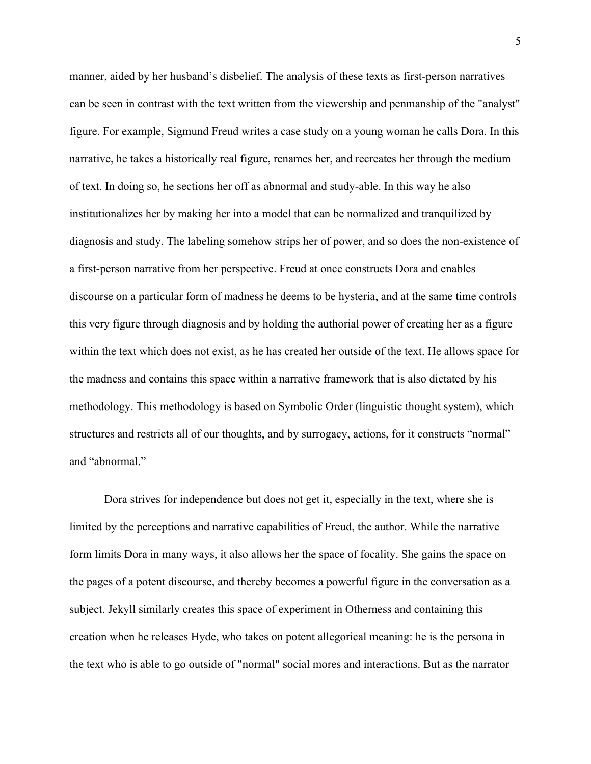manner, aided by her husband's disbelief. The analysis of these texts as first-person narratives can be seen in contrast with the text written from the viewership and penmanship of the "analyst" figure. For example, Sigmund Freud writes a case study on a young woman he calls Dora. In this narrative, he takes a historically real figure, renames her, and recreates her through the medium of text. In doing so, he sections her off as abnormal and study-able. In this way he also institutionalizes her by making her into a model that can be normalized and tranquilized by diagnosis and study. The labeling somehow strips her of power, and so does the non-existence of a first-person narrative from her perspective. Freud at once constructs Dora and enables discourse on a particular form of madness he deems to be hysteria, and at the same time controls this very figure through diagnosis and by holding the authorial power of creating her as a figure within the text which does not exist, as he has created her outside of the text. He allows space for the madness and contains this space within a narrative framework that is also dictated by his methodology. This methodology is based on Symbolic Order (linguistic thought system), which structures and restricts all of our thoughts, and by surrogacy, actions, for it constructs "normal" and "abnormal."

Dora strives for independence but does not get it, especially in the text, where she is limited by the perceptions and narrative capabilities of Freud, the author. While the narrative form limits Dora in many ways, it also allows her the space of focality. She gains the space on the pages of a potent discourse, and thereby becomes a powerful figure in the conversation as a subject. Jekyll similarly creates this space of experiment in Otherness and containing this creation when he releases Hyde, who takes on potent allegorical meaning: he is the persona in the text who is able to go outside of "normal" social mores and interactions. But as the narrator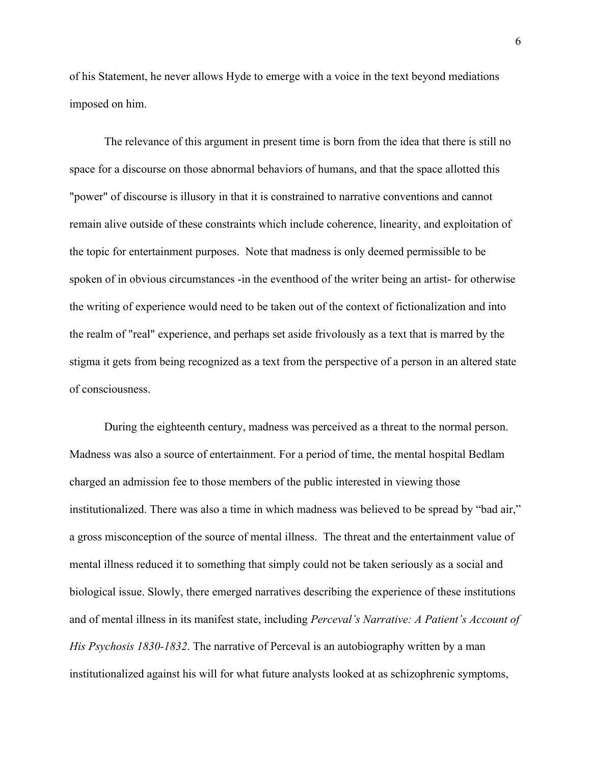of his Statement, he never allows Hyde to emerge with a voice in the text beyond mediations imposed on him.

The relevance of this argument in present time is born from the idea that there is still no space for a discourse on those abnormal behaviors of humans, and that the space allotted this "power" of discourse is illusory in that it is constrained to narrative conventions and cannot remain alive outside of these constraints which include coherence, linearity, and exploitation of the topic for entertainment purposes. Note that madness is only deemed permissible to be spoken of in obvious circumstances -in the eventhood of the writer being an artist- for otherwise the writing of experience would need to be taken out of the context of fictionalization and into the realm of "real" experience, and perhaps set aside frivolously as a text that is marred by the stigma it gets from being recognized as a text from the perspective of a person in an altered state of consciousness.

During the eighteenth century, madness was perceived as a threat to the normal person. Madness was also a source of entertainment. For a period of time, the mental hospital Bedlam charged an admission fee to those members of the public interested in viewing those institutionalized. There was also a time in which madness was believed to be spread by "bad air," a gross misconception of the source of mental illness. The threat and the entertainment value of mental illness reduced it to something that simply could not be taken seriously as a social and biological issue. Slowly, there emerged narratives describing the experience of these institutions and of mental illness in its manifest state, including *Perceval's Narrative: A Patient's Account of His Psychosis 1830-1832*. The narrative of Perceval is an autobiography written by a man institutionalized against his will for what future analysts looked at as schizophrenic symptoms,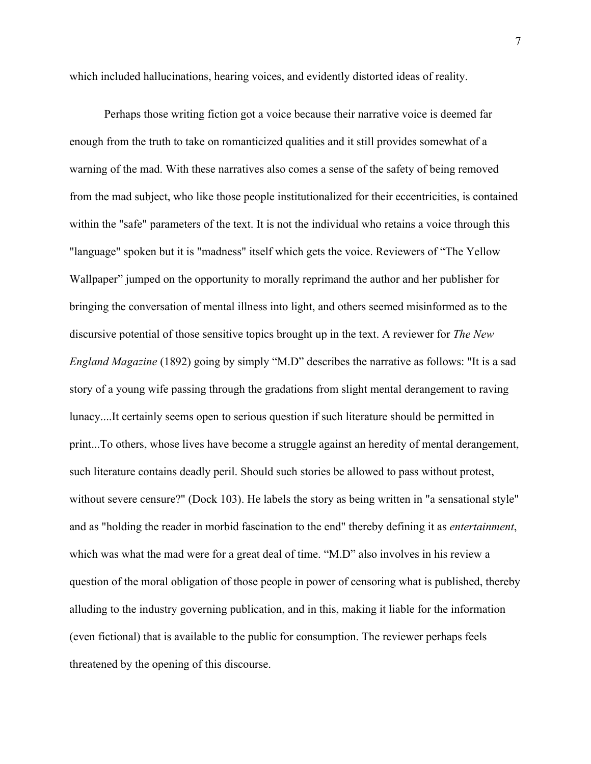which included hallucinations, hearing voices, and evidently distorted ideas of reality.

Perhaps those writing fiction got a voice because their narrative voice is deemed far enough from the truth to take on romanticized qualities and it still provides somewhat of a warning of the mad. With these narratives also comes a sense of the safety of being removed from the mad subject, who like those people institutionalized for their eccentricities, is contained within the "safe" parameters of the text. It is not the individual who retains a voice through this "language" spoken but it is "madness" itself which gets the voice. Reviewers of "The Yellow Wallpaper" jumped on the opportunity to morally reprimand the author and her publisher for bringing the conversation of mental illness into light, and others seemed misinformed as to the discursive potential of those sensitive topics brought up in the text. A reviewer for *The New England Magazine* (1892) going by simply "M.D" describes the narrative as follows: "It is a sad story of a young wife passing through the gradations from slight mental derangement to raving lunacy....It certainly seems open to serious question if such literature should be permitted in print...To others, whose lives have become a struggle against an heredity of mental derangement, such literature contains deadly peril. Should such stories be allowed to pass without protest, without severe censure?" (Dock 103). He labels the story as being written in "a sensational style" and as "holding the reader in morbid fascination to the end" thereby defining it as *entertainment*, which was what the mad were for a great deal of time. "M.D" also involves in his review a question of the moral obligation of those people in power of censoring what is published, thereby alluding to the industry governing publication, and in this, making it liable for the information (even fictional) that is available to the public for consumption. The reviewer perhaps feels threatened by the opening of this discourse.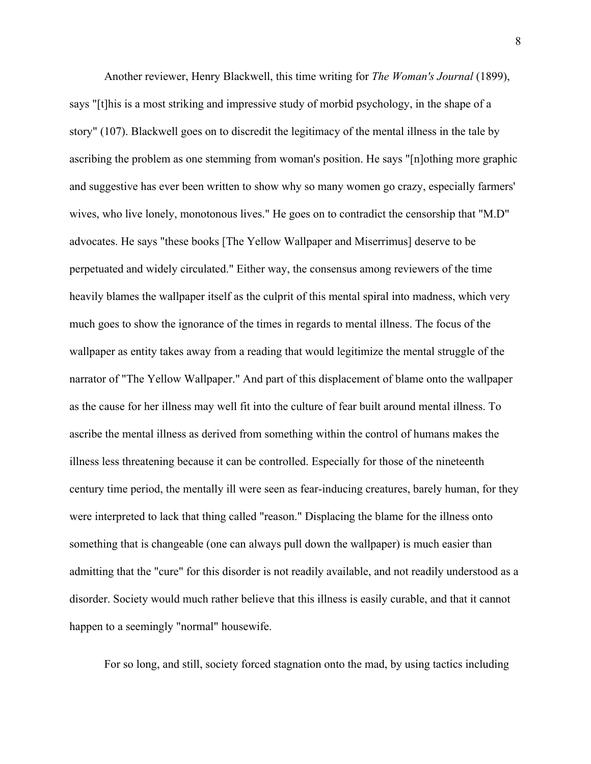Another reviewer, Henry Blackwell, this time writing for *The Woman's Journal* (1899), says "[t]his is a most striking and impressive study of morbid psychology, in the shape of a story" (107). Blackwell goes on to discredit the legitimacy of the mental illness in the tale by ascribing the problem as one stemming from woman's position. He says "[n]othing more graphic and suggestive has ever been written to show why so many women go crazy, especially farmers' wives, who live lonely, monotonous lives." He goes on to contradict the censorship that "M.D" advocates. He says "these books [The Yellow Wallpaper and Miserrimus] deserve to be perpetuated and widely circulated." Either way, the consensus among reviewers of the time heavily blames the wallpaper itself as the culprit of this mental spiral into madness, which very much goes to show the ignorance of the times in regards to mental illness. The focus of the wallpaper as entity takes away from a reading that would legitimize the mental struggle of the narrator of "The Yellow Wallpaper." And part of this displacement of blame onto the wallpaper as the cause for her illness may well fit into the culture of fear built around mental illness. To ascribe the mental illness as derived from something within the control of humans makes the illness less threatening because it can be controlled. Especially for those of the nineteenth century time period, the mentally ill were seen as fear-inducing creatures, barely human, for they were interpreted to lack that thing called "reason." Displacing the blame for the illness onto something that is changeable (one can always pull down the wallpaper) is much easier than admitting that the "cure" for this disorder is not readily available, and not readily understood as a disorder. Society would much rather believe that this illness is easily curable, and that it cannot happen to a seemingly "normal" housewife.

For so long, and still, society forced stagnation onto the mad, by using tactics including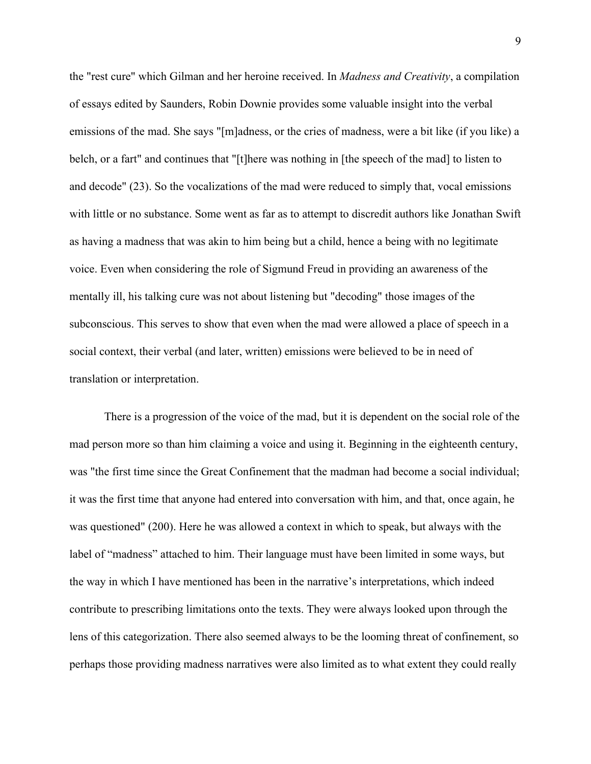the "rest cure" which Gilman and her heroine received. In *Madness and Creativity*, a compilation of essays edited by Saunders, Robin Downie provides some valuable insight into the verbal emissions of the mad. She says "[m]adness, or the cries of madness, were a bit like (if you like) a belch, or a fart" and continues that "[t]here was nothing in [the speech of the mad] to listen to and decode" (23). So the vocalizations of the mad were reduced to simply that, vocal emissions with little or no substance. Some went as far as to attempt to discredit authors like Jonathan Swift as having a madness that was akin to him being but a child, hence a being with no legitimate voice. Even when considering the role of Sigmund Freud in providing an awareness of the mentally ill, his talking cure was not about listening but "decoding" those images of the subconscious. This serves to show that even when the mad were allowed a place of speech in a social context, their verbal (and later, written) emissions were believed to be in need of translation or interpretation.

There is a progression of the voice of the mad, but it is dependent on the social role of the mad person more so than him claiming a voice and using it. Beginning in the eighteenth century, was "the first time since the Great Confinement that the madman had become a social individual; it was the first time that anyone had entered into conversation with him, and that, once again, he was questioned" (200). Here he was allowed a context in which to speak, but always with the label of "madness" attached to him. Their language must have been limited in some ways, but the way in which I have mentioned has been in the narrative's interpretations, which indeed contribute to prescribing limitations onto the texts. They were always looked upon through the lens of this categorization. There also seemed always to be the looming threat of confinement, so perhaps those providing madness narratives were also limited as to what extent they could really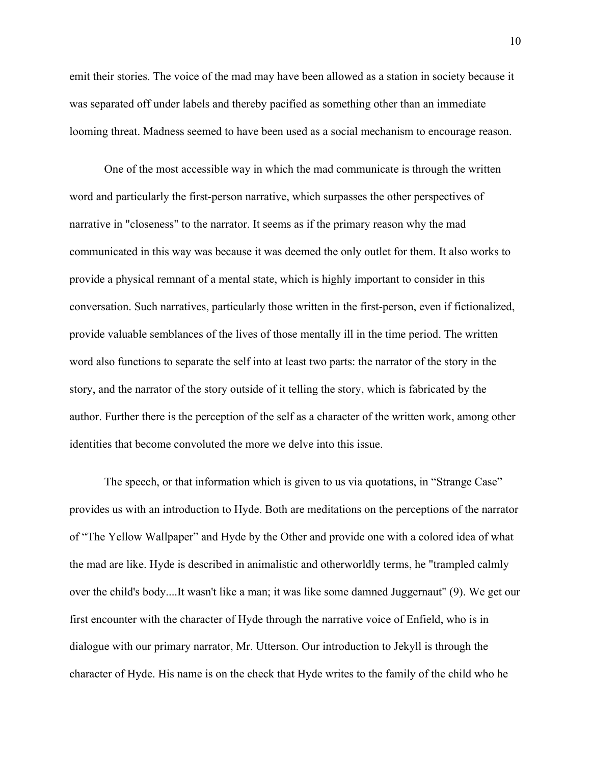emit their stories. The voice of the mad may have been allowed as a station in society because it was separated off under labels and thereby pacified as something other than an immediate looming threat. Madness seemed to have been used as a social mechanism to encourage reason.

One of the most accessible way in which the mad communicate is through the written word and particularly the first-person narrative, which surpasses the other perspectives of narrative in "closeness" to the narrator. It seems as if the primary reason why the mad communicated in this way was because it was deemed the only outlet for them. It also works to provide a physical remnant of a mental state, which is highly important to consider in this conversation. Such narratives, particularly those written in the first-person, even if fictionalized, provide valuable semblances of the lives of those mentally ill in the time period. The written word also functions to separate the self into at least two parts: the narrator of the story in the story, and the narrator of the story outside of it telling the story, which is fabricated by the author. Further there is the perception of the self as a character of the written work, among other identities that become convoluted the more we delve into this issue.

The speech, or that information which is given to us via quotations, in "Strange Case" provides us with an introduction to Hyde. Both are meditations on the perceptions of the narrator of "The Yellow Wallpaper" and Hyde by the Other and provide one with a colored idea of what the mad are like. Hyde is described in animalistic and otherworldly terms, he "trampled calmly over the child's body....It wasn't like a man; it was like some damned Juggernaut" (9). We get our first encounter with the character of Hyde through the narrative voice of Enfield, who is in dialogue with our primary narrator, Mr. Utterson. Our introduction to Jekyll is through the character of Hyde. His name is on the check that Hyde writes to the family of the child who he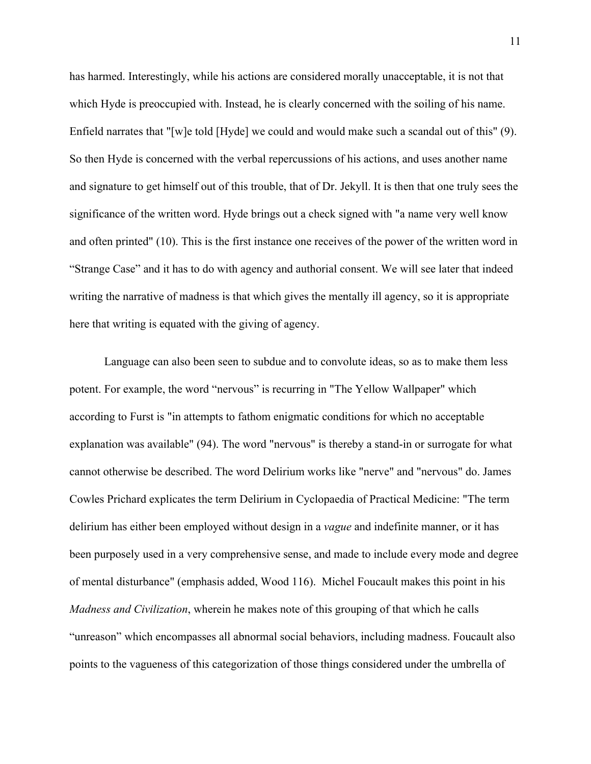has harmed. Interestingly, while his actions are considered morally unacceptable, it is not that which Hyde is preoccupied with. Instead, he is clearly concerned with the soiling of his name. Enfield narrates that "[w]e told [Hyde] we could and would make such a scandal out of this" (9). So then Hyde is concerned with the verbal repercussions of his actions, and uses another name and signature to get himself out of this trouble, that of Dr. Jekyll. It is then that one truly sees the significance of the written word. Hyde brings out a check signed with "a name very well know and often printed" (10). This is the first instance one receives of the power of the written word in "Strange Case" and it has to do with agency and authorial consent. We will see later that indeed writing the narrative of madness is that which gives the mentally ill agency, so it is appropriate here that writing is equated with the giving of agency.

Language can also been seen to subdue and to convolute ideas, so as to make them less potent. For example, the word "nervous" is recurring in "The Yellow Wallpaper" which according to Furst is "in attempts to fathom enigmatic conditions for which no acceptable explanation was available" (94). The word "nervous" is thereby a stand-in or surrogate for what cannot otherwise be described. The word Delirium works like "nerve" and "nervous" do. James Cowles Prichard explicates the term Delirium in Cyclopaedia of Practical Medicine: "The term delirium has either been employed without design in a *vague* and indefinite manner, or it has been purposely used in a very comprehensive sense, and made to include every mode and degree of mental disturbance" (emphasis added, Wood 116). Michel Foucault makes this point in his *Madness and Civilization*, wherein he makes note of this grouping of that which he calls "unreason" which encompasses all abnormal social behaviors, including madness. Foucault also points to the vagueness of this categorization of those things considered under the umbrella of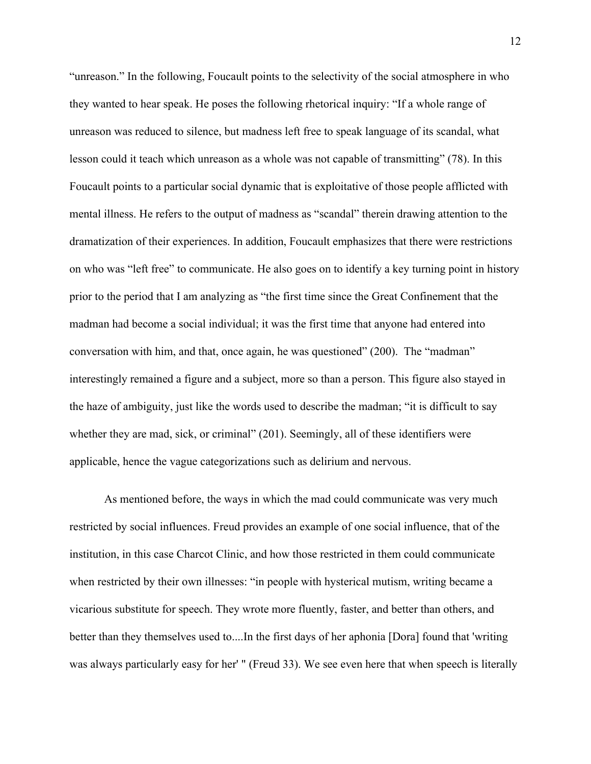"unreason." In the following, Foucault points to the selectivity of the social atmosphere in who they wanted to hear speak. He poses the following rhetorical inquiry: "If a whole range of unreason was reduced to silence, but madness left free to speak language of its scandal, what lesson could it teach which unreason as a whole was not capable of transmitting" (78). In this Foucault points to a particular social dynamic that is exploitative of those people afflicted with mental illness. He refers to the output of madness as "scandal" therein drawing attention to the dramatization of their experiences. In addition, Foucault emphasizes that there were restrictions on who was "left free" to communicate. He also goes on to identify a key turning point in history prior to the period that I am analyzing as "the first time since the Great Confinement that the madman had become a social individual; it was the first time that anyone had entered into conversation with him, and that, once again, he was questioned" (200). The "madman" interestingly remained a figure and a subject, more so than a person. This figure also stayed in the haze of ambiguity, just like the words used to describe the madman; "it is difficult to say whether they are mad, sick, or criminal" (201). Seemingly, all of these identifiers were applicable, hence the vague categorizations such as delirium and nervous.

As mentioned before, the ways in which the mad could communicate was very much restricted by social influences. Freud provides an example of one social influence, that of the institution, in this case Charcot Clinic, and how those restricted in them could communicate when restricted by their own illnesses: "in people with hysterical mutism, writing became a vicarious substitute for speech. They wrote more fluently, faster, and better than others, and better than they themselves used to....In the first days of her aphonia [Dora] found that 'writing was always particularly easy for her' " (Freud 33). We see even here that when speech is literally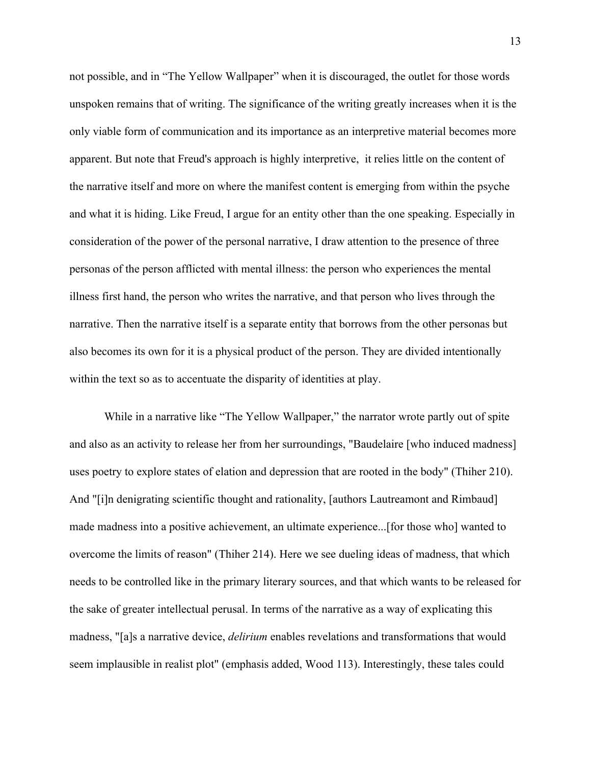not possible, and in "The Yellow Wallpaper" when it is discouraged, the outlet for those words unspoken remains that of writing. The significance of the writing greatly increases when it is the only viable form of communication and its importance as an interpretive material becomes more apparent. But note that Freud's approach is highly interpretive, it relies little on the content of the narrative itself and more on where the manifest content is emerging from within the psyche and what it is hiding. Like Freud, I argue for an entity other than the one speaking. Especially in consideration of the power of the personal narrative, I draw attention to the presence of three personas of the person afflicted with mental illness: the person who experiences the mental illness first hand, the person who writes the narrative, and that person who lives through the narrative. Then the narrative itself is a separate entity that borrows from the other personas but also becomes its own for it is a physical product of the person. They are divided intentionally within the text so as to accentuate the disparity of identities at play.

While in a narrative like "The Yellow Wallpaper," the narrator wrote partly out of spite and also as an activity to release her from her surroundings, "Baudelaire [who induced madness] uses poetry to explore states of elation and depression that are rooted in the body" (Thiher 210). And "[i]n denigrating scientific thought and rationality, [authors Lautreamont and Rimbaud] made madness into a positive achievement, an ultimate experience...[for those who] wanted to overcome the limits of reason" (Thiher 214). Here we see dueling ideas of madness, that which needs to be controlled like in the primary literary sources, and that which wants to be released for the sake of greater intellectual perusal. In terms of the narrative as a way of explicating this madness, "[a]s a narrative device, *delirium* enables revelations and transformations that would seem implausible in realist plot" (emphasis added, Wood 113). Interestingly, these tales could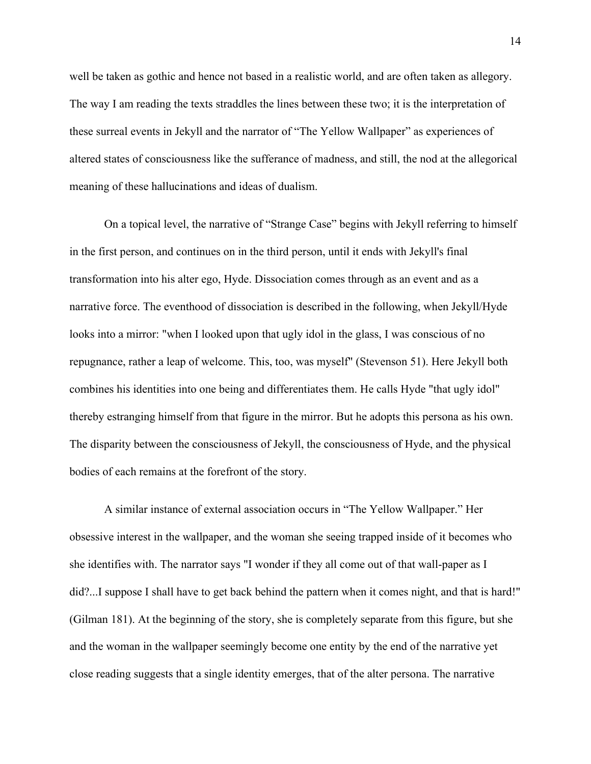well be taken as gothic and hence not based in a realistic world, and are often taken as allegory. The way I am reading the texts straddles the lines between these two; it is the interpretation of these surreal events in Jekyll and the narrator of "The Yellow Wallpaper" as experiences of altered states of consciousness like the sufferance of madness, and still, the nod at the allegorical meaning of these hallucinations and ideas of dualism.

On a topical level, the narrative of "Strange Case" begins with Jekyll referring to himself in the first person, and continues on in the third person, until it ends with Jekyll's final transformation into his alter ego, Hyde. Dissociation comes through as an event and as a narrative force. The eventhood of dissociation is described in the following, when Jekyll/Hyde looks into a mirror: "when I looked upon that ugly idol in the glass, I was conscious of no repugnance, rather a leap of welcome. This, too, was myself" (Stevenson 51). Here Jekyll both combines his identities into one being and differentiates them. He calls Hyde "that ugly idol" thereby estranging himself from that figure in the mirror. But he adopts this persona as his own. The disparity between the consciousness of Jekyll, the consciousness of Hyde, and the physical bodies of each remains at the forefront of the story.

A similar instance of external association occurs in "The Yellow Wallpaper." Her obsessive interest in the wallpaper, and the woman she seeing trapped inside of it becomes who she identifies with. The narrator says "I wonder if they all come out of that wall-paper as I did?...I suppose I shall have to get back behind the pattern when it comes night, and that is hard!" (Gilman 181). At the beginning of the story, she is completely separate from this figure, but she and the woman in the wallpaper seemingly become one entity by the end of the narrative yet close reading suggests that a single identity emerges, that of the alter persona. The narrative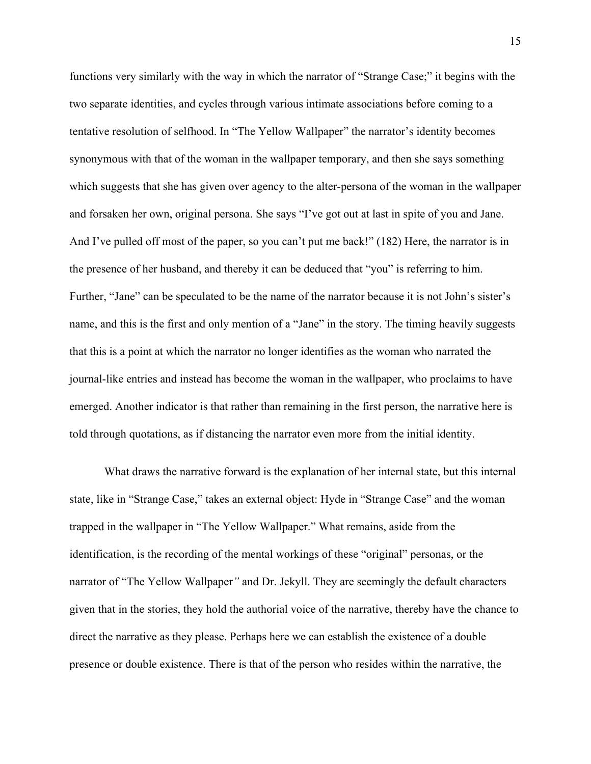functions very similarly with the way in which the narrator of "Strange Case;" it begins with the two separate identities, and cycles through various intimate associations before coming to a tentative resolution of selfhood. In "The Yellow Wallpaper" the narrator's identity becomes synonymous with that of the woman in the wallpaper temporary, and then she says something which suggests that she has given over agency to the alter-persona of the woman in the wallpaper and forsaken her own, original persona. She says "I've got out at last in spite of you and Jane. And I've pulled off most of the paper, so you can't put me back!" (182) Here, the narrator is in the presence of her husband, and thereby it can be deduced that "you" is referring to him. Further, "Jane" can be speculated to be the name of the narrator because it is not John's sister's name, and this is the first and only mention of a "Jane" in the story. The timing heavily suggests that this is a point at which the narrator no longer identifies as the woman who narrated the journal-like entries and instead has become the woman in the wallpaper, who proclaims to have emerged. Another indicator is that rather than remaining in the first person, the narrative here is told through quotations, as if distancing the narrator even more from the initial identity.

What draws the narrative forward is the explanation of her internal state, but this internal state, like in "Strange Case," takes an external object: Hyde in "Strange Case" and the woman trapped in the wallpaper in "The Yellow Wallpaper." What remains, aside from the identification, is the recording of the mental workings of these "original" personas, or the narrator of "The Yellow Wallpaper*"* and Dr. Jekyll. They are seemingly the default characters given that in the stories, they hold the authorial voice of the narrative, thereby have the chance to direct the narrative as they please. Perhaps here we can establish the existence of a double presence or double existence. There is that of the person who resides within the narrative, the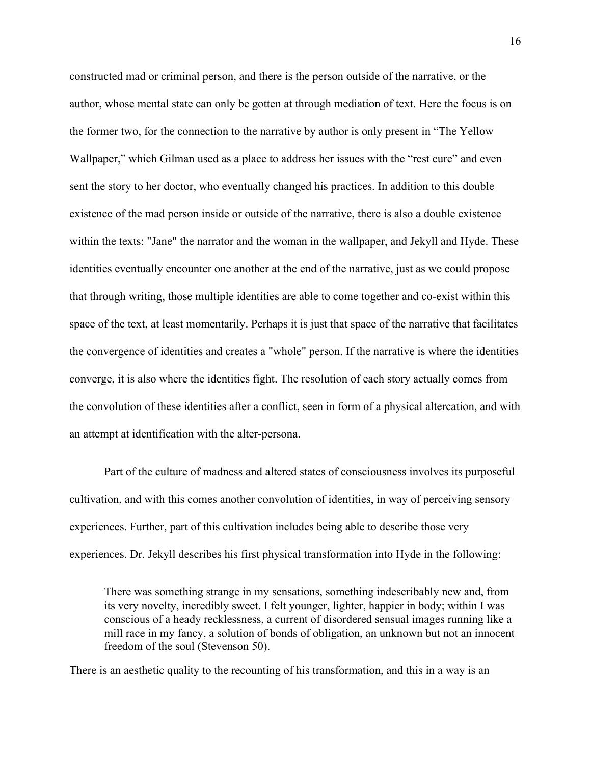constructed mad or criminal person, and there is the person outside of the narrative, or the author, whose mental state can only be gotten at through mediation of text. Here the focus is on the former two, for the connection to the narrative by author is only present in "The Yellow Wallpaper," which Gilman used as a place to address her issues with the "rest cure" and even sent the story to her doctor, who eventually changed his practices. In addition to this double existence of the mad person inside or outside of the narrative, there is also a double existence within the texts: "Jane" the narrator and the woman in the wallpaper, and Jekyll and Hyde. These identities eventually encounter one another at the end of the narrative, just as we could propose that through writing, those multiple identities are able to come together and co-exist within this space of the text, at least momentarily. Perhaps it is just that space of the narrative that facilitates the convergence of identities and creates a "whole" person. If the narrative is where the identities converge, it is also where the identities fight. The resolution of each story actually comes from the convolution of these identities after a conflict, seen in form of a physical altercation, and with an attempt at identification with the alter-persona.

Part of the culture of madness and altered states of consciousness involves its purposeful cultivation, and with this comes another convolution of identities, in way of perceiving sensory experiences. Further, part of this cultivation includes being able to describe those very experiences. Dr. Jekyll describes his first physical transformation into Hyde in the following:

There was something strange in my sensations, something indescribably new and, from its very novelty, incredibly sweet. I felt younger, lighter, happier in body; within I was conscious of a heady recklessness, a current of disordered sensual images running like a mill race in my fancy, a solution of bonds of obligation, an unknown but not an innocent freedom of the soul (Stevenson 50).

There is an aesthetic quality to the recounting of his transformation, and this in a way is an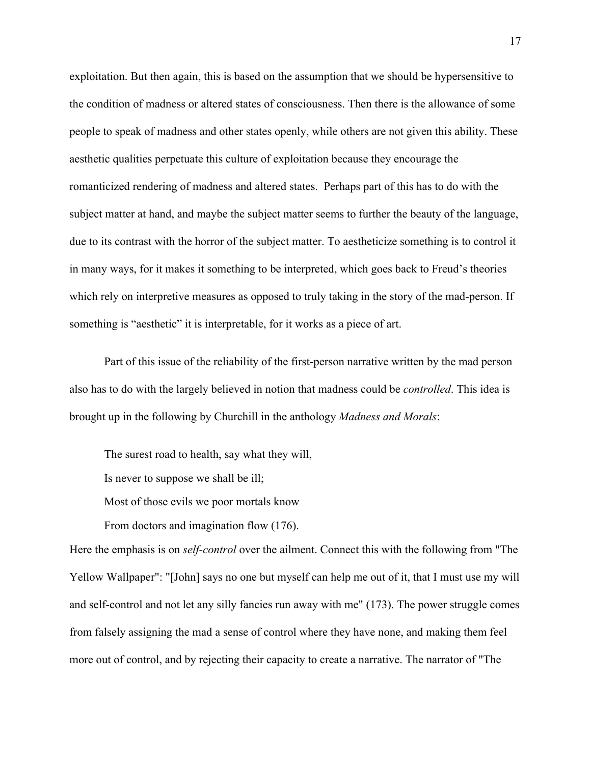exploitation. But then again, this is based on the assumption that we should be hypersensitive to the condition of madness or altered states of consciousness. Then there is the allowance of some people to speak of madness and other states openly, while others are not given this ability. These aesthetic qualities perpetuate this culture of exploitation because they encourage the romanticized rendering of madness and altered states. Perhaps part of this has to do with the subject matter at hand, and maybe the subject matter seems to further the beauty of the language, due to its contrast with the horror of the subject matter. To aestheticize something is to control it in many ways, for it makes it something to be interpreted, which goes back to Freud's theories which rely on interpretive measures as opposed to truly taking in the story of the mad-person. If something is "aesthetic" it is interpretable, for it works as a piece of art.

Part of this issue of the reliability of the first-person narrative written by the mad person also has to do with the largely believed in notion that madness could be *controlled*. This idea is brought up in the following by Churchill in the anthology *Madness and Morals*:

The surest road to health, say what they will,

Is never to suppose we shall be ill;

Most of those evils we poor mortals know

From doctors and imagination flow (176).

Here the emphasis is on *self-control* over the ailment. Connect this with the following from "The Yellow Wallpaper": "[John] says no one but myself can help me out of it, that I must use my will and self-control and not let any silly fancies run away with me" (173). The power struggle comes from falsely assigning the mad a sense of control where they have none, and making them feel more out of control, and by rejecting their capacity to create a narrative. The narrator of "The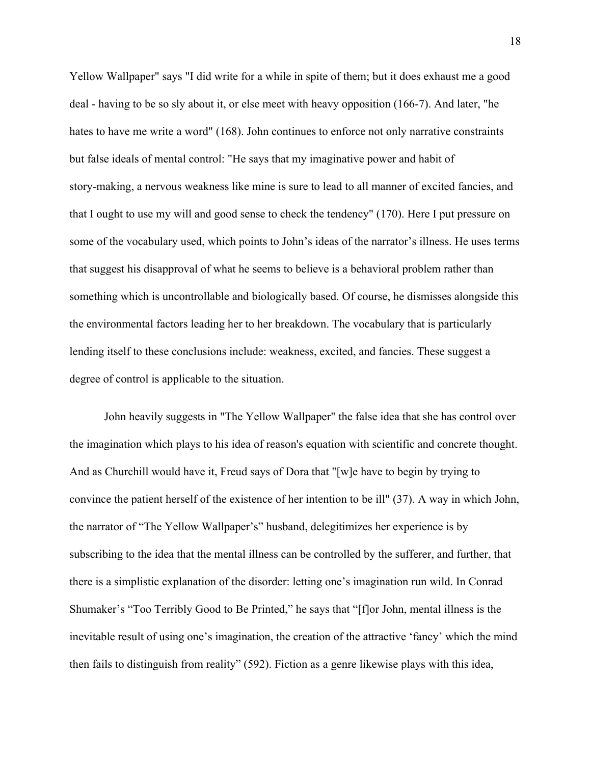Yellow Wallpaper" says "I did write for a while in spite of them; but it does exhaust me a good deal - having to be so sly about it, or else meet with heavy opposition (166-7). And later, "he hates to have me write a word" (168). John continues to enforce not only narrative constraints but false ideals of mental control: "He says that my imaginative power and habit of story-making, a nervous weakness like mine is sure to lead to all manner of excited fancies, and that I ought to use my will and good sense to check the tendency" (170). Here I put pressure on some of the vocabulary used, which points to John's ideas of the narrator's illness. He uses terms that suggest his disapproval of what he seems to believe is a behavioral problem rather than something which is uncontrollable and biologically based. Of course, he dismisses alongside this the environmental factors leading her to her breakdown. The vocabulary that is particularly lending itself to these conclusions include: weakness, excited, and fancies. These suggest a degree of control is applicable to the situation.

John heavily suggests in "The Yellow Wallpaper" the false idea that she has control over the imagination which plays to his idea of reason's equation with scientific and concrete thought. And as Churchill would have it, Freud says of Dora that "[w]e have to begin by trying to convince the patient herself of the existence of her intention to be ill" (37). A way in which John, the narrator of "The Yellow Wallpaper's" husband, delegitimizes her experience is by subscribing to the idea that the mental illness can be controlled by the sufferer, and further, that there is a simplistic explanation of the disorder: letting one's imagination run wild. In Conrad Shumaker's "Too Terribly Good to Be Printed," he says that "[f]or John, mental illness is the inevitable result of using one's imagination, the creation of the attractive 'fancy' which the mind then fails to distinguish from reality" (592). Fiction as a genre likewise plays with this idea,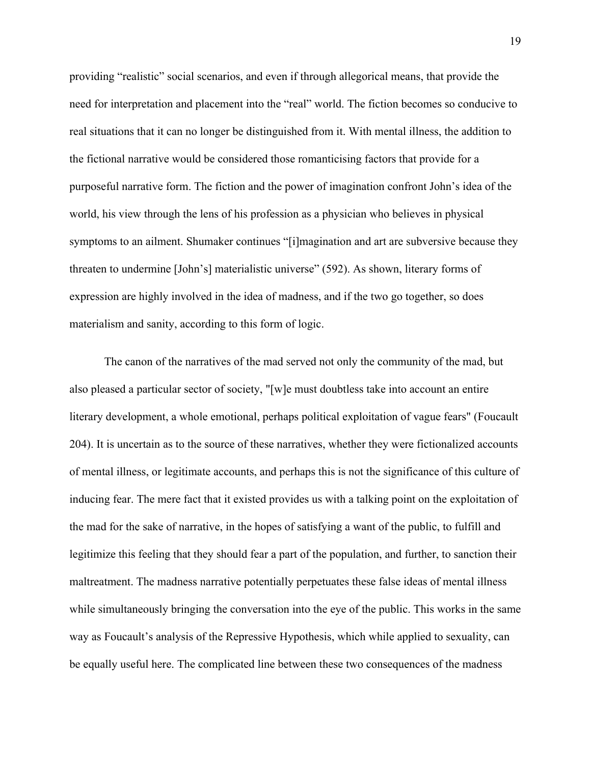providing "realistic" social scenarios, and even if through allegorical means, that provide the need for interpretation and placement into the "real" world. The fiction becomes so conducive to real situations that it can no longer be distinguished from it. With mental illness, the addition to the fictional narrative would be considered those romanticising factors that provide for a purposeful narrative form. The fiction and the power of imagination confront John's idea of the world, his view through the lens of his profession as a physician who believes in physical symptoms to an ailment. Shumaker continues "[i]magination and art are subversive because they threaten to undermine [John's] materialistic universe" (592). As shown, literary forms of expression are highly involved in the idea of madness, and if the two go together, so does materialism and sanity, according to this form of logic.

The canon of the narratives of the mad served not only the community of the mad, but also pleased a particular sector of society, "[w]e must doubtless take into account an entire literary development, a whole emotional, perhaps political exploitation of vague fears" (Foucault 204). It is uncertain as to the source of these narratives, whether they were fictionalized accounts of mental illness, or legitimate accounts, and perhaps this is not the significance of this culture of inducing fear. The mere fact that it existed provides us with a talking point on the exploitation of the mad for the sake of narrative, in the hopes of satisfying a want of the public, to fulfill and legitimize this feeling that they should fear a part of the population, and further, to sanction their maltreatment. The madness narrative potentially perpetuates these false ideas of mental illness while simultaneously bringing the conversation into the eye of the public. This works in the same way as Foucault's analysis of the Repressive Hypothesis, which while applied to sexuality, can be equally useful here. The complicated line between these two consequences of the madness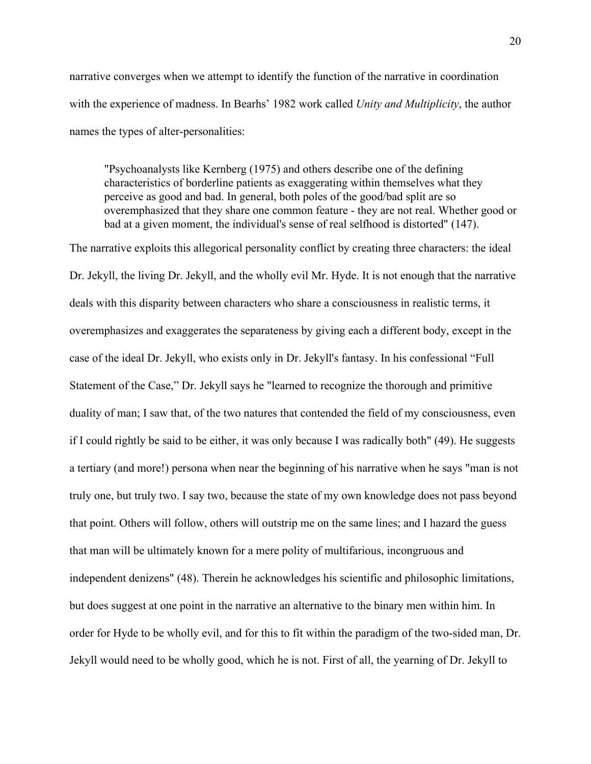narrative converges when we attempt to identify the function of the narrative in coordination with the experience of madness. In Bearhs' 1982 work called *Unity and Multiplicity*, the author names the types of alter-personalities:

"Psychoanalysts like Kernberg (1975) and others describe one of the defining characteristics of borderline patients as exaggerating within themselves what they perceive as good and bad. In general, both poles of the good/bad split are so overemphasized that they share one common feature - they are not real. Whether good or bad at a given moment, the individual's sense of real selfhood is distorted" (147).

The narrative exploits this allegorical personality conflict by creating three characters: the ideal Dr. Jekyll, the living Dr. Jekyll, and the wholly evil Mr. Hyde. It is not enough that the narrative deals with this disparity between characters who share a consciousness in realistic terms, it overemphasizes and exaggerates the separateness by giving each a different body, except in the case of the ideal Dr. Jekyll, who exists only in Dr. Jekyll's fantasy. In his confessional "Full Statement of the Case," Dr. Jekyll says he "learned to recognize the thorough and primitive duality of man; I saw that, of the two natures that contended the field of my consciousness, even if I could rightly be said to be either, it was only because I was radically both" (49). He suggests a tertiary (and more!) persona when near the beginning of his narrative when he says "man is not truly one, but truly two. I say two, because the state of my own knowledge does not pass beyond that point. Others will follow, others will outstrip me on the same lines; and I hazard the guess that man will be ultimately known for a mere polity of multifarious, incongruous and independent denizens" (48). Therein he acknowledges his scientific and philosophic limitations, but does suggest at one point in the narrative an alternative to the binary men within him. In order for Hyde to be wholly evil, and for this to fit within the paradigm of the two-sided man, Dr. Jekyll would need to be wholly good, which he is not. First of all, the yearning of Dr. Jekyll to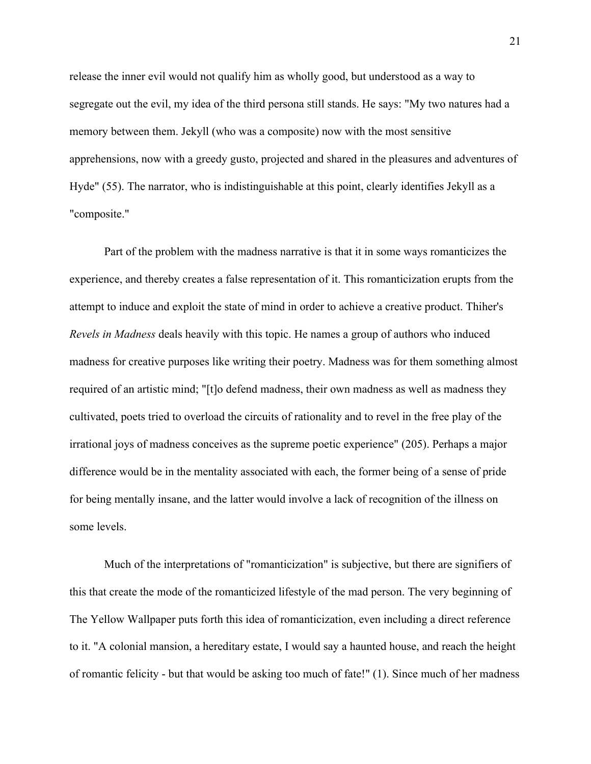release the inner evil would not qualify him as wholly good, but understood as a way to segregate out the evil, my idea of the third persona still stands. He says: "My two natures had a memory between them. Jekyll (who was a composite) now with the most sensitive apprehensions, now with a greedy gusto, projected and shared in the pleasures and adventures of Hyde" (55). The narrator, who is indistinguishable at this point, clearly identifies Jekyll as a "composite."

Part of the problem with the madness narrative is that it in some ways romanticizes the experience, and thereby creates a false representation of it. This romanticization erupts from the attempt to induce and exploit the state of mind in order to achieve a creative product. Thiher's *Revels in Madness* deals heavily with this topic. He names a group of authors who induced madness for creative purposes like writing their poetry. Madness was for them something almost required of an artistic mind; "[t]o defend madness, their own madness as well as madness they cultivated, poets tried to overload the circuits of rationality and to revel in the free play of the irrational joys of madness conceives as the supreme poetic experience" (205). Perhaps a major difference would be in the mentality associated with each, the former being of a sense of pride for being mentally insane, and the latter would involve a lack of recognition of the illness on some levels.

Much of the interpretations of "romanticization" is subjective, but there are signifiers of this that create the mode of the romanticized lifestyle of the mad person. The very beginning of The Yellow Wallpaper puts forth this idea of romanticization, even including a direct reference to it. "A colonial mansion, a hereditary estate, I would say a haunted house, and reach the height of romantic felicity - but that would be asking too much of fate!" (1). Since much of her madness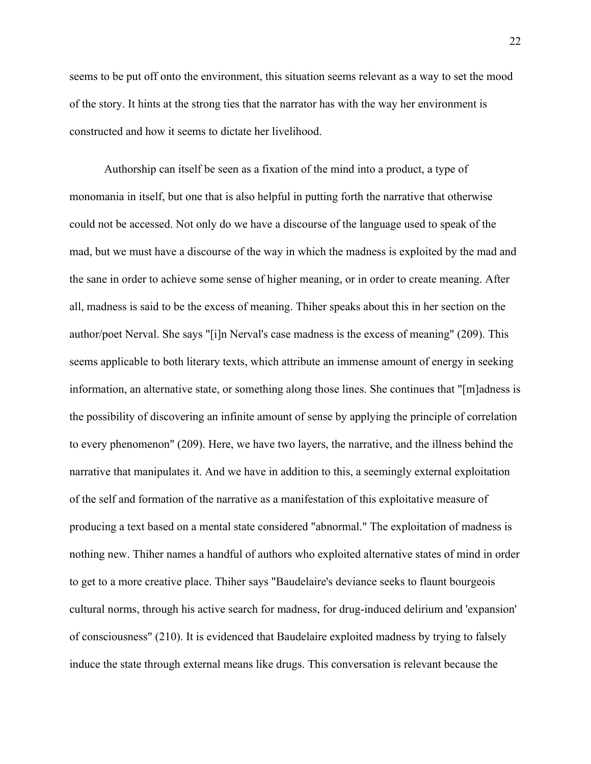seems to be put off onto the environment, this situation seems relevant as a way to set the mood of the story. It hints at the strong ties that the narrator has with the way her environment is constructed and how it seems to dictate her livelihood.

Authorship can itself be seen as a fixation of the mind into a product, a type of monomania in itself, but one that is also helpful in putting forth the narrative that otherwise could not be accessed. Not only do we have a discourse of the language used to speak of the mad, but we must have a discourse of the way in which the madness is exploited by the mad and the sane in order to achieve some sense of higher meaning, or in order to create meaning. After all, madness is said to be the excess of meaning. Thiher speaks about this in her section on the author/poet Nerval. She says "[i]n Nerval's case madness is the excess of meaning" (209). This seems applicable to both literary texts, which attribute an immense amount of energy in seeking information, an alternative state, or something along those lines. She continues that "[m]adness is the possibility of discovering an infinite amount of sense by applying the principle of correlation to every phenomenon" (209). Here, we have two layers, the narrative, and the illness behind the narrative that manipulates it. And we have in addition to this, a seemingly external exploitation of the self and formation of the narrative as a manifestation of this exploitative measure of producing a text based on a mental state considered "abnormal." The exploitation of madness is nothing new. Thiher names a handful of authors who exploited alternative states of mind in order to get to a more creative place. Thiher says "Baudelaire's deviance seeks to flaunt bourgeois cultural norms, through his active search for madness, for drug-induced delirium and 'expansion' of consciousness" (210). It is evidenced that Baudelaire exploited madness by trying to falsely induce the state through external means like drugs. This conversation is relevant because the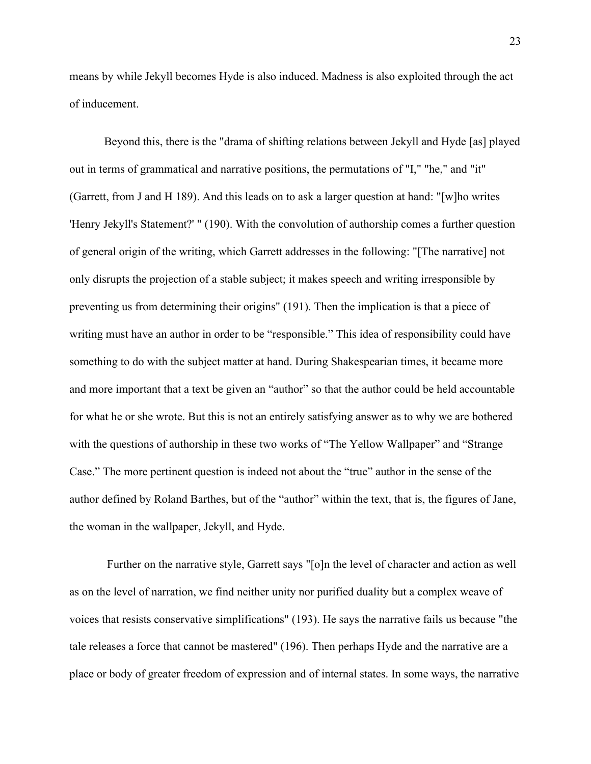means by while Jekyll becomes Hyde is also induced. Madness is also exploited through the act of inducement.

Beyond this, there is the "drama of shifting relations between Jekyll and Hyde [as] played out in terms of grammatical and narrative positions, the permutations of "I," "he," and "it" (Garrett, from J and H 189). And this leads on to ask a larger question at hand: "[w]ho writes 'Henry Jekyll's Statement?' " (190). With the convolution of authorship comes a further question of general origin of the writing, which Garrett addresses in the following: "[The narrative] not only disrupts the projection of a stable subject; it makes speech and writing irresponsible by preventing us from determining their origins" (191). Then the implication is that a piece of writing must have an author in order to be "responsible." This idea of responsibility could have something to do with the subject matter at hand. During Shakespearian times, it became more and more important that a text be given an "author" so that the author could be held accountable for what he or she wrote. But this is not an entirely satisfying answer as to why we are bothered with the questions of authorship in these two works of "The Yellow Wallpaper" and "Strange" Case." The more pertinent question is indeed not about the "true" author in the sense of the author defined by Roland Barthes, but of the "author" within the text, that is, the figures of Jane, the woman in the wallpaper, Jekyll, and Hyde.

 Further on the narrative style, Garrett says "[o]n the level of character and action as well as on the level of narration, we find neither unity nor purified duality but a complex weave of voices that resists conservative simplifications" (193). He says the narrative fails us because "the tale releases a force that cannot be mastered" (196). Then perhaps Hyde and the narrative are a place or body of greater freedom of expression and of internal states. In some ways, the narrative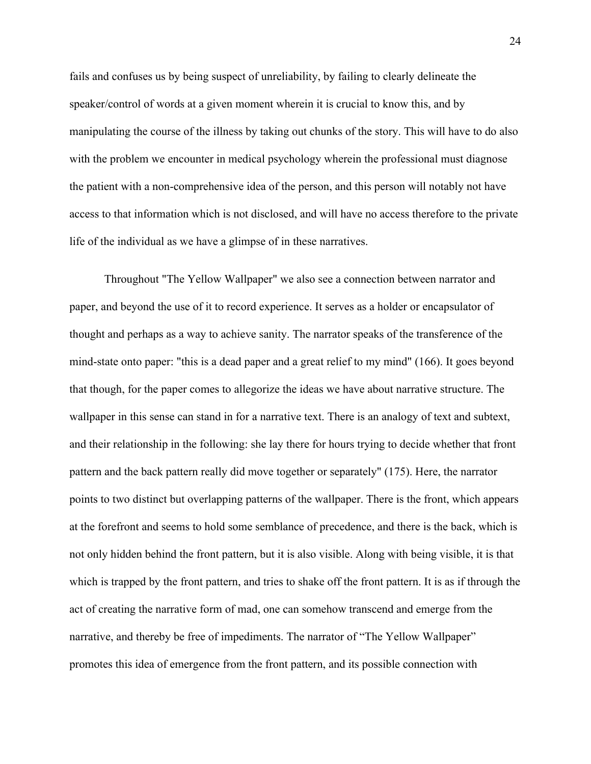fails and confuses us by being suspect of unreliability, by failing to clearly delineate the speaker/control of words at a given moment wherein it is crucial to know this, and by manipulating the course of the illness by taking out chunks of the story. This will have to do also with the problem we encounter in medical psychology wherein the professional must diagnose the patient with a non-comprehensive idea of the person, and this person will notably not have access to that information which is not disclosed, and will have no access therefore to the private life of the individual as we have a glimpse of in these narratives.

Throughout "The Yellow Wallpaper" we also see a connection between narrator and paper, and beyond the use of it to record experience. It serves as a holder or encapsulator of thought and perhaps as a way to achieve sanity. The narrator speaks of the transference of the mind-state onto paper: "this is a dead paper and a great relief to my mind" (166). It goes beyond that though, for the paper comes to allegorize the ideas we have about narrative structure. The wallpaper in this sense can stand in for a narrative text. There is an analogy of text and subtext, and their relationship in the following: she lay there for hours trying to decide whether that front pattern and the back pattern really did move together or separately" (175). Here, the narrator points to two distinct but overlapping patterns of the wallpaper. There is the front, which appears at the forefront and seems to hold some semblance of precedence, and there is the back, which is not only hidden behind the front pattern, but it is also visible. Along with being visible, it is that which is trapped by the front pattern, and tries to shake off the front pattern. It is as if through the act of creating the narrative form of mad, one can somehow transcend and emerge from the narrative, and thereby be free of impediments. The narrator of "The Yellow Wallpaper" promotes this idea of emergence from the front pattern, and its possible connection with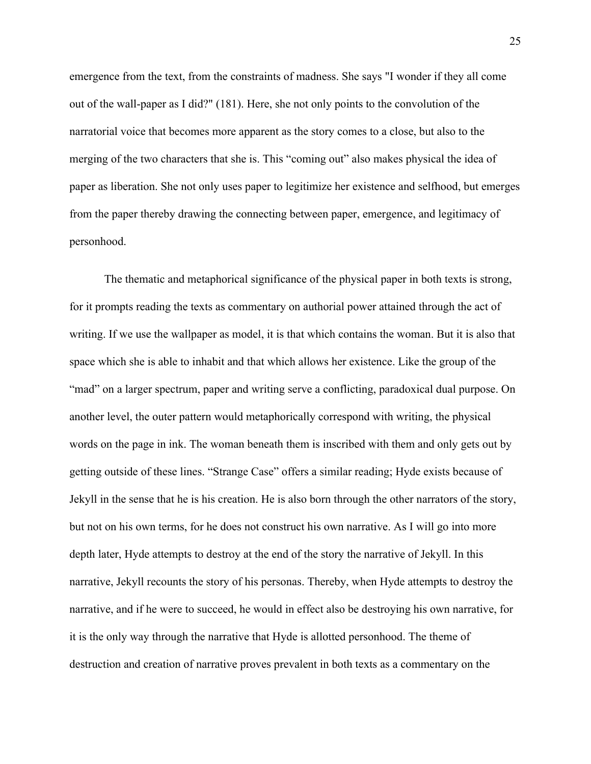emergence from the text, from the constraints of madness. She says "I wonder if they all come out of the wall-paper as I did?" (181). Here, she not only points to the convolution of the narratorial voice that becomes more apparent as the story comes to a close, but also to the merging of the two characters that she is. This "coming out" also makes physical the idea of paper as liberation. She not only uses paper to legitimize her existence and selfhood, but emerges from the paper thereby drawing the connecting between paper, emergence, and legitimacy of personhood.

The thematic and metaphorical significance of the physical paper in both texts is strong, for it prompts reading the texts as commentary on authorial power attained through the act of writing. If we use the wallpaper as model, it is that which contains the woman. But it is also that space which she is able to inhabit and that which allows her existence. Like the group of the "mad" on a larger spectrum, paper and writing serve a conflicting, paradoxical dual purpose. On another level, the outer pattern would metaphorically correspond with writing, the physical words on the page in ink. The woman beneath them is inscribed with them and only gets out by getting outside of these lines. "Strange Case" offers a similar reading; Hyde exists because of Jekyll in the sense that he is his creation. He is also born through the other narrators of the story, but not on his own terms, for he does not construct his own narrative. As I will go into more depth later, Hyde attempts to destroy at the end of the story the narrative of Jekyll. In this narrative, Jekyll recounts the story of his personas. Thereby, when Hyde attempts to destroy the narrative, and if he were to succeed, he would in effect also be destroying his own narrative, for it is the only way through the narrative that Hyde is allotted personhood. The theme of destruction and creation of narrative proves prevalent in both texts as a commentary on the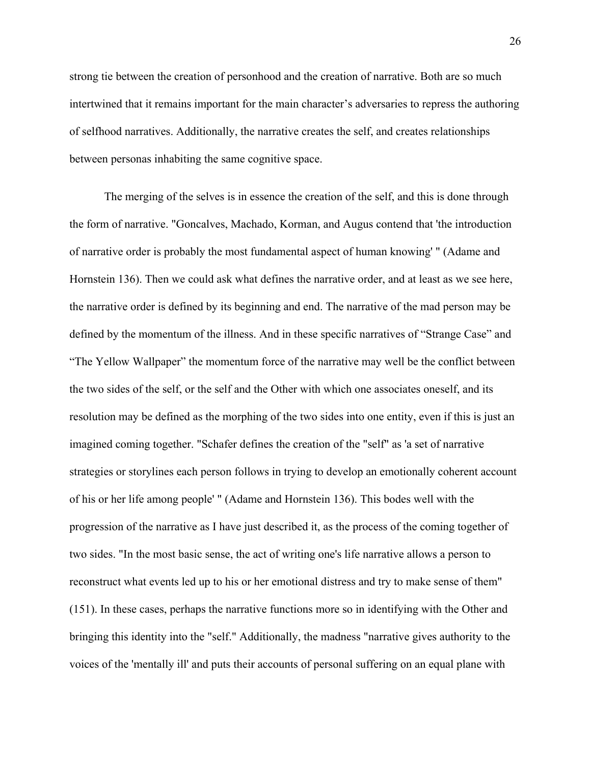strong tie between the creation of personhood and the creation of narrative. Both are so much intertwined that it remains important for the main character's adversaries to repress the authoring of selfhood narratives. Additionally, the narrative creates the self, and creates relationships between personas inhabiting the same cognitive space.

The merging of the selves is in essence the creation of the self, and this is done through the form of narrative. "Goncalves, Machado, Korman, and Augus contend that 'the introduction of narrative order is probably the most fundamental aspect of human knowing' " (Adame and Hornstein 136). Then we could ask what defines the narrative order, and at least as we see here, the narrative order is defined by its beginning and end. The narrative of the mad person may be defined by the momentum of the illness. And in these specific narratives of "Strange Case" and "The Yellow Wallpaper" the momentum force of the narrative may well be the conflict between the two sides of the self, or the self and the Other with which one associates oneself, and its resolution may be defined as the morphing of the two sides into one entity, even if this is just an imagined coming together. "Schafer defines the creation of the "self" as 'a set of narrative strategies or storylines each person follows in trying to develop an emotionally coherent account of his or her life among people' " (Adame and Hornstein 136). This bodes well with the progression of the narrative as I have just described it, as the process of the coming together of two sides. "In the most basic sense, the act of writing one's life narrative allows a person to reconstruct what events led up to his or her emotional distress and try to make sense of them" (151). In these cases, perhaps the narrative functions more so in identifying with the Other and bringing this identity into the "self." Additionally, the madness "narrative gives authority to the voices of the 'mentally ill' and puts their accounts of personal suffering on an equal plane with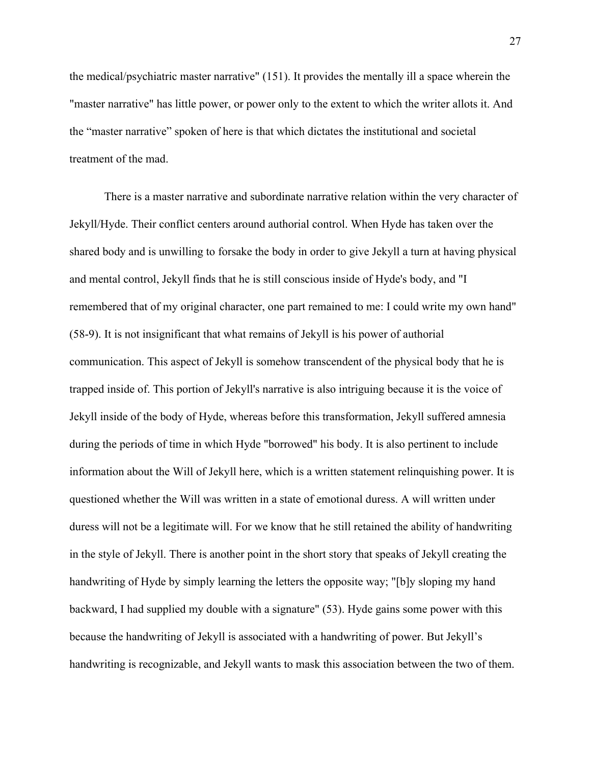the medical/psychiatric master narrative" (151). It provides the mentally ill a space wherein the "master narrative" has little power, or power only to the extent to which the writer allots it. And the "master narrative" spoken of here is that which dictates the institutional and societal treatment of the mad.

There is a master narrative and subordinate narrative relation within the very character of Jekyll/Hyde. Their conflict centers around authorial control. When Hyde has taken over the shared body and is unwilling to forsake the body in order to give Jekyll a turn at having physical and mental control, Jekyll finds that he is still conscious inside of Hyde's body, and "I remembered that of my original character, one part remained to me: I could write my own hand" (58-9). It is not insignificant that what remains of Jekyll is his power of authorial communication. This aspect of Jekyll is somehow transcendent of the physical body that he is trapped inside of. This portion of Jekyll's narrative is also intriguing because it is the voice of Jekyll inside of the body of Hyde, whereas before this transformation, Jekyll suffered amnesia during the periods of time in which Hyde "borrowed" his body. It is also pertinent to include information about the Will of Jekyll here, which is a written statement relinquishing power. It is questioned whether the Will was written in a state of emotional duress. A will written under duress will not be a legitimate will. For we know that he still retained the ability of handwriting in the style of Jekyll. There is another point in the short story that speaks of Jekyll creating the handwriting of Hyde by simply learning the letters the opposite way; "[b]y sloping my hand backward, I had supplied my double with a signature" (53). Hyde gains some power with this because the handwriting of Jekyll is associated with a handwriting of power. But Jekyll's handwriting is recognizable, and Jekyll wants to mask this association between the two of them.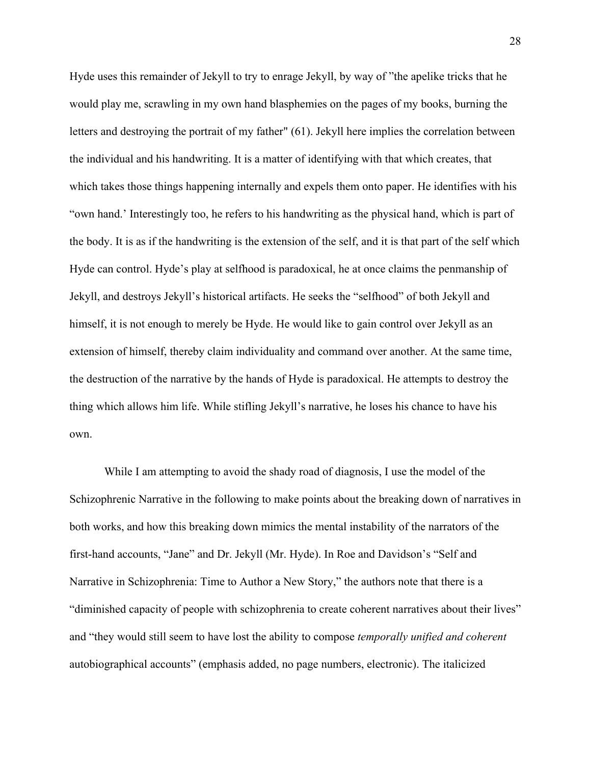Hyde uses this remainder of Jekyll to try to enrage Jekyll, by way of "the apelike tricks that he would play me, scrawling in my own hand blasphemies on the pages of my books, burning the letters and destroying the portrait of my father" (61). Jekyll here implies the correlation between the individual and his handwriting. It is a matter of identifying with that which creates, that which takes those things happening internally and expels them onto paper. He identifies with his "own hand.' Interestingly too, he refers to his handwriting as the physical hand, which is part of the body. It is as if the handwriting is the extension of the self, and it is that part of the self which Hyde can control. Hyde's play at selfhood is paradoxical, he at once claims the penmanship of Jekyll, and destroys Jekyll's historical artifacts. He seeks the "selfhood" of both Jekyll and himself, it is not enough to merely be Hyde. He would like to gain control over Jekyll as an extension of himself, thereby claim individuality and command over another. At the same time, the destruction of the narrative by the hands of Hyde is paradoxical. He attempts to destroy the thing which allows him life. While stifling Jekyll's narrative, he loses his chance to have his own.

While I am attempting to avoid the shady road of diagnosis, I use the model of the Schizophrenic Narrative in the following to make points about the breaking down of narratives in both works, and how this breaking down mimics the mental instability of the narrators of the first-hand accounts, "Jane" and Dr. Jekyll (Mr. Hyde). In Roe and Davidson's "Self and Narrative in Schizophrenia: Time to Author a New Story," the authors note that there is a "diminished capacity of people with schizophrenia to create coherent narratives about their lives" and "they would still seem to have lost the ability to compose *temporally unified and coherent* autobiographical accounts" (emphasis added, no page numbers, electronic). The italicized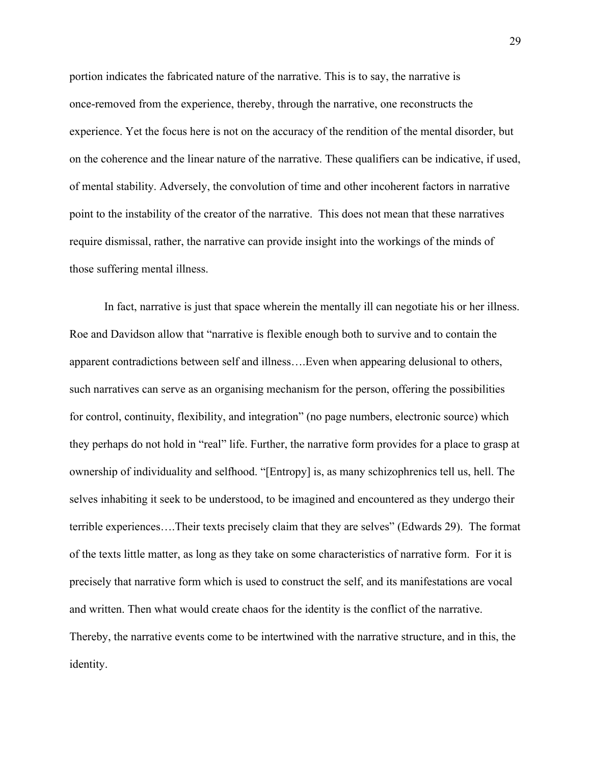portion indicates the fabricated nature of the narrative. This is to say, the narrative is once-removed from the experience, thereby, through the narrative, one reconstructs the experience. Yet the focus here is not on the accuracy of the rendition of the mental disorder, but on the coherence and the linear nature of the narrative. These qualifiers can be indicative, if used, of mental stability. Adversely, the convolution of time and other incoherent factors in narrative point to the instability of the creator of the narrative. This does not mean that these narratives require dismissal, rather, the narrative can provide insight into the workings of the minds of those suffering mental illness.

In fact, narrative is just that space wherein the mentally ill can negotiate his or her illness. Roe and Davidson allow that "narrative is flexible enough both to survive and to contain the apparent contradictions between self and illness….Even when appearing delusional to others, such narratives can serve as an organising mechanism for the person, offering the possibilities for control, continuity, flexibility, and integration" (no page numbers, electronic source) which they perhaps do not hold in "real" life. Further, the narrative form provides for a place to grasp at ownership of individuality and selfhood. "[Entropy] is, as many schizophrenics tell us, hell. The selves inhabiting it seek to be understood, to be imagined and encountered as they undergo their terrible experiences….Their texts precisely claim that they are selves" (Edwards 29). The format of the texts little matter, as long as they take on some characteristics of narrative form. For it is precisely that narrative form which is used to construct the self, and its manifestations are vocal and written. Then what would create chaos for the identity is the conflict of the narrative. Thereby, the narrative events come to be intertwined with the narrative structure, and in this, the identity.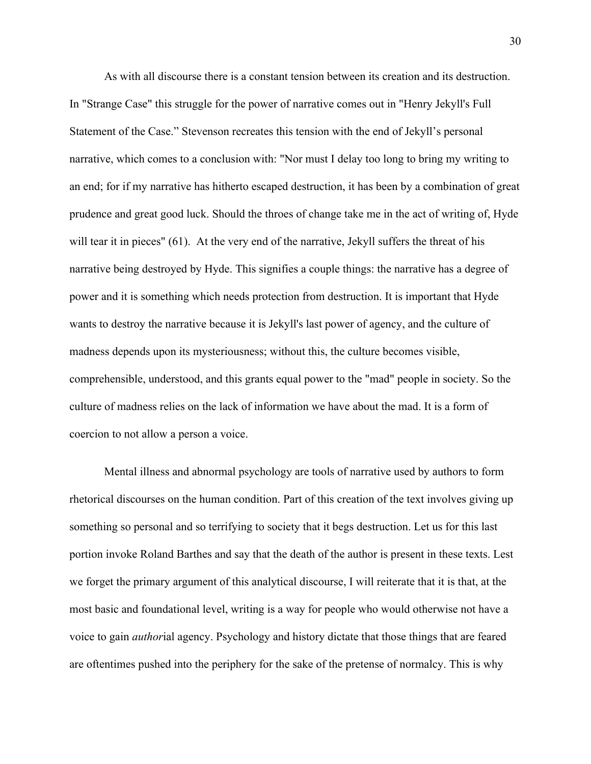As with all discourse there is a constant tension between its creation and its destruction. In "Strange Case" this struggle for the power of narrative comes out in "Henry Jekyll's Full Statement of the Case." Stevenson recreates this tension with the end of Jekyll's personal narrative, which comes to a conclusion with: "Nor must I delay too long to bring my writing to an end; for if my narrative has hitherto escaped destruction, it has been by a combination of great prudence and great good luck. Should the throes of change take me in the act of writing of, Hyde will tear it in pieces" (61). At the very end of the narrative, Jekyll suffers the threat of his narrative being destroyed by Hyde. This signifies a couple things: the narrative has a degree of power and it is something which needs protection from destruction. It is important that Hyde wants to destroy the narrative because it is Jekyll's last power of agency, and the culture of madness depends upon its mysteriousness; without this, the culture becomes visible, comprehensible, understood, and this grants equal power to the "mad" people in society. So the culture of madness relies on the lack of information we have about the mad. It is a form of coercion to not allow a person a voice.

Mental illness and abnormal psychology are tools of narrative used by authors to form rhetorical discourses on the human condition. Part of this creation of the text involves giving up something so personal and so terrifying to society that it begs destruction. Let us for this last portion invoke Roland Barthes and say that the death of the author is present in these texts. Lest we forget the primary argument of this analytical discourse, I will reiterate that it is that, at the most basic and foundational level, writing is a way for people who would otherwise not have a voice to gain *author*ial agency. Psychology and history dictate that those things that are feared are oftentimes pushed into the periphery for the sake of the pretense of normalcy. This is why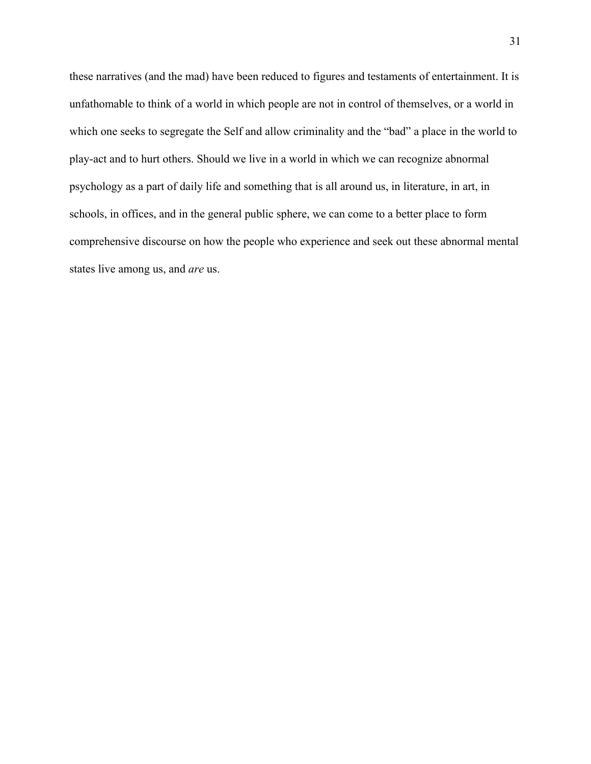these narratives (and the mad) have been reduced to figures and testaments of entertainment. It is unfathomable to think of a world in which people are not in control of themselves, or a world in which one seeks to segregate the Self and allow criminality and the "bad" a place in the world to play-act and to hurt others. Should we live in a world in which we can recognize abnormal psychology as a part of daily life and something that is all around us, in literature, in art, in schools, in offices, and in the general public sphere, we can come to a better place to form comprehensive discourse on how the people who experience and seek out these abnormal mental states live among us, and *are* us.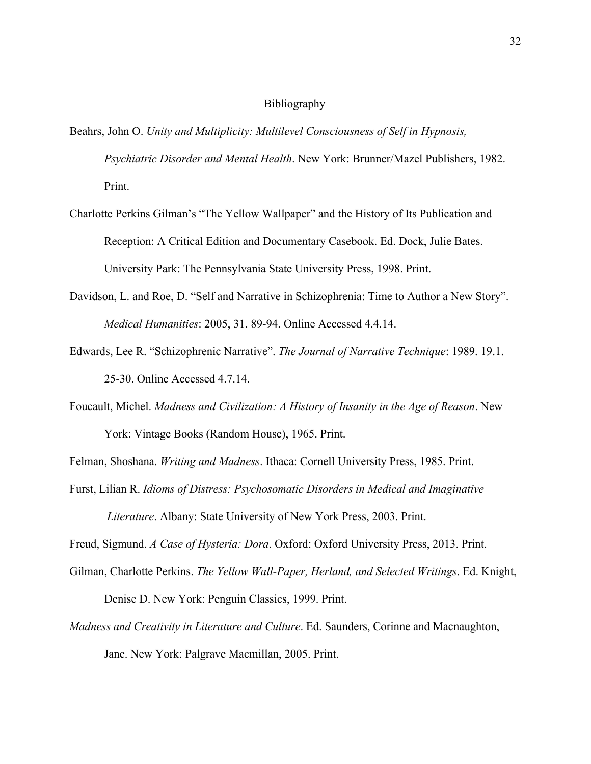## Bibliography

- Beahrs, John O. *Unity and Multiplicity: Multilevel Consciousness of Self in Hypnosis, Psychiatric Disorder and Mental Health*. New York: Brunner/Mazel Publishers, 1982. Print.
- Charlotte Perkins Gilman's "The Yellow Wallpaper" and the History of Its Publication and Reception: A Critical Edition and Documentary Casebook. Ed. Dock, Julie Bates. University Park: The Pennsylvania State University Press, 1998. Print.
- Davidson, L. and Roe, D. "Self and Narrative in Schizophrenia: Time to Author a New Story". *Medical Humanities*: 2005, 31. 89-94. Online Accessed 4.4.14.
- Edwards, Lee R. "Schizophrenic Narrative". *The Journal of Narrative Technique*: 1989. 19.1. 25-30. Online Accessed 4.7.14.
- Foucault, Michel. *Madness and Civilization: A History of Insanity in the Age of Reason*. New York: Vintage Books (Random House), 1965. Print.

Felman, Shoshana. *Writing and Madness*. Ithaca: Cornell University Press, 1985. Print.

Furst, Lilian R. *Idioms of Distress: Psychosomatic Disorders in Medical and Imaginative Literature*. Albany: State University of New York Press, 2003. Print.

Freud, Sigmund. *A Case of Hysteria: Dora*. Oxford: Oxford University Press, 2013. Print.

Gilman, Charlotte Perkins. *The Yellow Wall-Paper, Herland, and Selected Writings*. Ed. Knight,

Denise D. New York: Penguin Classics, 1999. Print.

*Madness and Creativity in Literature and Culture*. Ed. Saunders, Corinne and Macnaughton, Jane. New York: Palgrave Macmillan, 2005. Print.